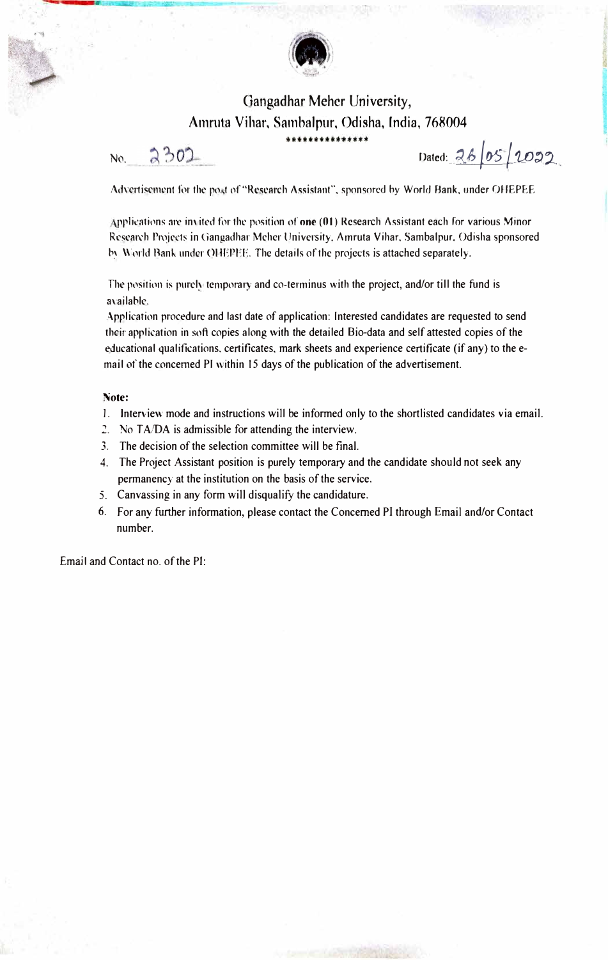

## Gangadhar Meher University, Amruta Vihar, Sambalpur, Odisha, India, 768004

No. 2302 Dated: 26/05/2022

Advertisement for the post of "Research Assistant", sponsored by World Bank, under OHEPEE

Applications are invited for the position of **one (01)** Research Assistant each for various Minor Research Projects in Gangadhar Mcher University, Amruta Vihar, Sambalpur, Odisha sponsored by World Bank under OHEPFE. The details of the projects is attached separately.

The position is purely temporary and co-terminus with the project, and/or till the fund is availahle.

Application procedure and last date of application: Interested candidates are requested to send their application in soft copies along with the detailed Bio-data and self attested copies of the educational qualifications. certificates, mark sheets and experience certificate (if any) to the email of the concemed Pl within 15 days of the publication of the advertisement.

## **Note:**

- 1. Interview mode and instructions will be informed only to the shortlisted candidates via email.
- *2.* No *T AIDA* is admissible for attending the interview.
- 3. The decision of the selection committee will be final.
- 4. The Project Assistant position is purely temporary and the candidate should not seek any permanency at the institution on the basis of the service.
- 5. Canvassing in any form will disqualify the candidature.
- 6. For any further information, please contact the Concerned Pl through Email and/or Contact number.

Email and Contact no. of the PI: